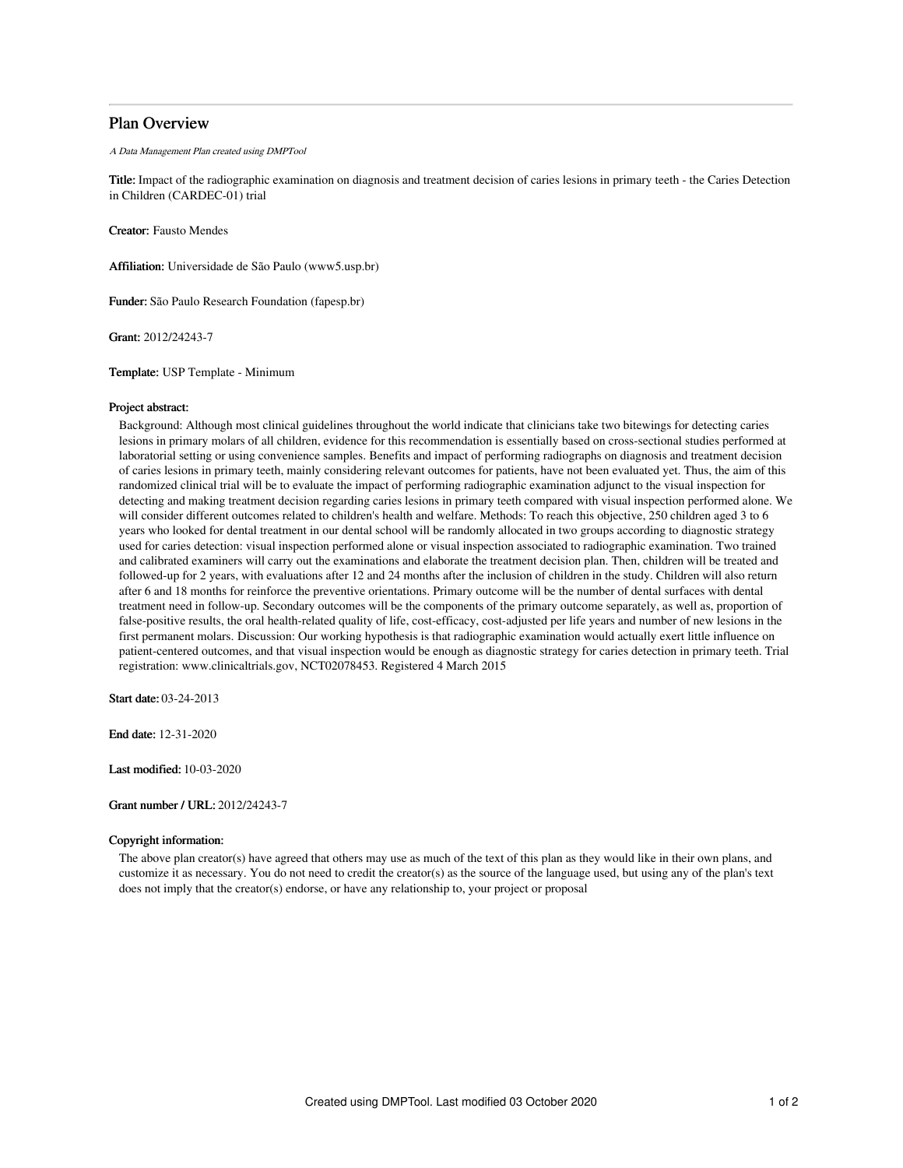## Plan Overview

A Data Management Plan created using DMPTool

Title: Impact of the radiographic examination on diagnosis and treatment decision of caries lesions in primary teeth - the Caries Detection in Children (CARDEC-01) trial

Creator: Fausto Mendes

Affiliation: Universidade de São Paulo (www5.usp.br)

Funder: São Paulo Research Foundation (fapesp.br)

Grant: 2012/24243-7

Template: USP Template - Minimum

### Project abstract:

Background: Although most clinical guidelines throughout the world indicate that clinicians take two bitewings for detecting caries lesions in primary molars of all children, evidence for this recommendation is essentially based on cross-sectional studies performed at laboratorial setting or using convenience samples. Benefits and impact of performing radiographs on diagnosis and treatment decision of caries lesions in primary teeth, mainly considering relevant outcomes for patients, have not been evaluated yet. Thus, the aim of this randomized clinical trial will be to evaluate the impact of performing radiographic examination adjunct to the visual inspection for detecting and making treatment decision regarding caries lesions in primary teeth compared with visual inspection performed alone. We will consider different outcomes related to children's health and welfare. Methods: To reach this objective, 250 children aged 3 to 6 years who looked for dental treatment in our dental school will be randomly allocated in two groups according to diagnostic strategy used for caries detection: visual inspection performed alone or visual inspection associated to radiographic examination. Two trained and calibrated examiners will carry out the examinations and elaborate the treatment decision plan. Then, children will be treated and followed-up for 2 years, with evaluations after 12 and 24 months after the inclusion of children in the study. Children will also return after 6 and 18 months for reinforce the preventive orientations. Primary outcome will be the number of dental surfaces with dental treatment need in follow-up. Secondary outcomes will be the components of the primary outcome separately, as well as, proportion of false-positive results, the oral health-related quality of life, cost-efficacy, cost-adjusted per life years and number of new lesions in the first permanent molars. Discussion: Our working hypothesis is that radiographic examination would actually exert little influence on patient-centered outcomes, and that visual inspection would be enough as diagnostic strategy for caries detection in primary teeth. Trial registration: www.clinicaltrials.gov, NCT02078453. Registered 4 March 2015

Start date: 03-24-2013

End date: 12-31-2020

Last modified: 10-03-2020

Grant number / URL: 2012/24243-7

## Copyright information:

The above plan creator(s) have agreed that others may use as much of the text of this plan as they would like in their own plans, and customize it as necessary. You do not need to credit the creator(s) as the source of the language used, but using any of the plan's text does not imply that the creator(s) endorse, or have any relationship to, your project or proposal